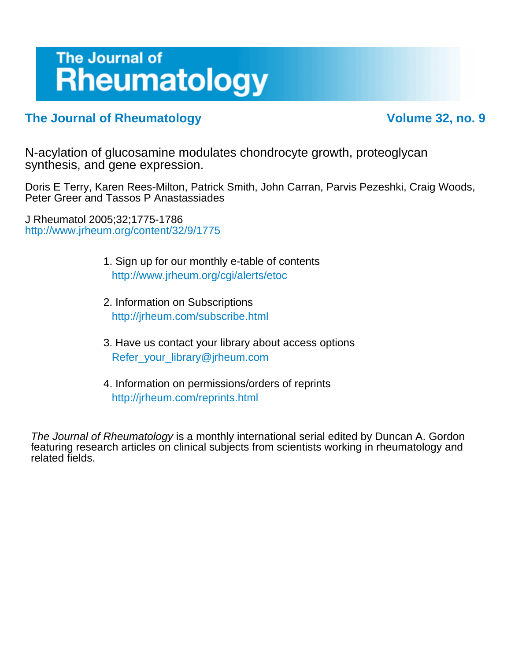# The Journal of **Rheumatology**

### **The Journal of Rheumatology Volume 32, no. 9**

synthesis, and gene expression. N-acylation of glucosamine modulates chondrocyte growth, proteoglycan

Peter Greer and Tassos P Anastassiades Doris E Terry, Karen Rees-Milton, Patrick Smith, John Carran, Parvis Pezeshki, Craig Woods,

<http://www.jrheum.org/content/32/9/1775> J Rheumatol 2005;32;1775-1786

- 1. Sign up for our monthly e-table of contents <http://www.jrheum.org/cgi/alerts/etoc>
- 2. Information on Subscriptions <http://jrheum.com/subscribe.html>
- 3. Have us contact your library about access options [Refer\\_your\\_library@jrheum.com](mailto:Refer_your_library@jrheum.com)
- 4. Information on permissions/orders of reprints <http://jrheum.com/reprints.html>

related fields. featuring research articles on clinical subjects from scientists working in rheumatology and The Journal of Rheumatology is a monthly international serial edited by Duncan A. Gordon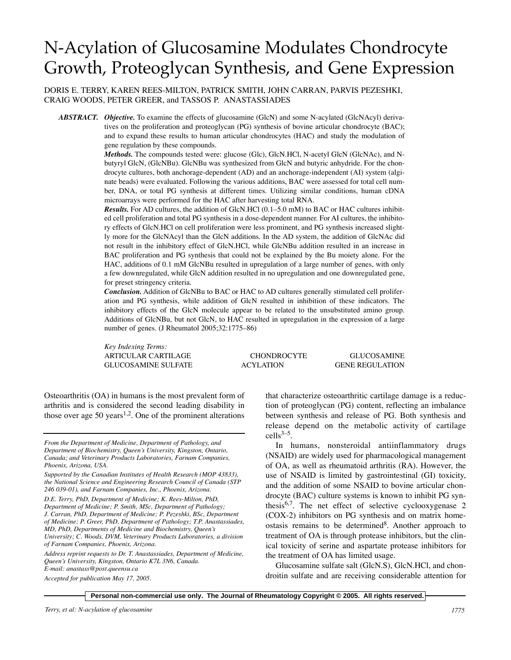## N-Acylation of Glucosamine Modulates Chondrocyte Growth, Proteoglycan Synthesis, and Gene Expression

DORIS E. TERRY, KAREN REES-MILTON, PATRICK SMITH, JOHN CARRAN, PARVIS PEZESHKI, CRAIG WOODS, PETER GREER, and TASSOS P. ANASTASSIADES

*ABSTRACT. Objective.* To examine the effects of glucosamine (GlcN) and some N-acylated (GlcNAcyl) derivatives on the proliferation and proteoglycan (PG) synthesis of bovine articular chondrocyte (BAC); and to expand these results to human articular chondrocytes (HAC) and study the modulation of gene regulation by these compounds.

> *Methods.* The compounds tested were: glucose (Glc), GlcN.HCl, N-acetyl GlcN (GlcNAc), and Nbutyryl GlcN, (GlcNBu). GlcNBu was synthesized from GlcN and butyric anhydride. For the chondrocyte cultures, both anchorage-dependent (AD) and an anchorage-independent (AI) system (alginate beads) were evaluated. Following the various additions, BAC were assessed for total cell number, DNA, or total PG synthesis at different times. Utilizing similar conditions, human cDNA microarrays were performed for the HAC after harvesting total RNA.

> *Results.* For AD cultures, the addition of GlcN.HCl (0.1–5.0 mM) to BAC or HAC cultures inhibited cell proliferation and total PG synthesis in a dose-dependent manner. For AI cultures, the inhibitory effects of GlcN.HCl on cell proliferation were less prominent, and PG synthesis increased slightly more for the GlcNAcyl than the GlcN additions. In the AD system, the addition of GlcNAc did not result in the inhibitory effect of GlcN.HCl, while GlcNBu addition resulted in an increase in BAC proliferation and PG synthesis that could not be explained by the Bu moiety alone. For the HAC, additions of 0.1 mM GlcNBu resulted in upregulation of a large number of genes, with only a few downregulated, while GlcN addition resulted in no upregulation and one downregulated gene, for preset stringency criteria.

> *Conclusion.* Addition of GlcNBu to BAC or HAC to AD cultures generally stimulated cell proliferation and PG synthesis, while addition of GlcN resulted in inhibition of these indicators. The inhibitory effects of the GlcN molecule appear to be related to the unsubstituted amino group. Additions of GlcNBu, but not GlcN, to HAC resulted in upregulation in the expression of a large number of genes. (J Rheumatol 2005;32:1775–86)

> *Key Indexing Terms:* ARTICULAR CARTILAGE CHONDROCYTE GLUCOSAMINE GLUCOSAMINE SULFATE ACYLATION GENE REGULATION

Osteoarthritis (OA) in humans is the most prevalent form of arthritis and is considered the second leading disability in those over age 50 years<sup>1,2</sup>. One of the prominent alterations

*D.E. Terry, PhD, Department of Medicine; K. Rees-Milton, PhD, Department of Medicine; P. Smith, MSc, Department of Pathology; J. Carran, PhD, Department of Medicine; P. Pezeshki, BSc, Department of Medicine; P. Greer, PhD, Department of Pathology; T.P. Anastassiades, MD, PhD, Departments of Medicine and Biochemistry, Queen's University; C. Woods, DVM, Veterinary Products Laboratories, a division of Farnam Companies, Phoenix, Arizona.*

*Address reprint requests to Dr. T. Anastassiades, Department of Medicine, Queen's University, Kingston, Ontario K7L 3N6, Canada. E-mail: anastass@post.queensu.ca* 

*Accepted for publication May 17, 2005.*

that characterize osteoarthritic cartilage damage is a reduction of proteoglycan (PG) content, reflecting an imbalance between synthesis and release of PG. Both synthesis and release depend on the metabolic activity of cartilage  $cells^{3-5}$ .

In humans, nonsteroidal antiinflammatory drugs (NSAID) are widely used for pharmacological management of OA, as well as rheumatoid arthritis (RA). However, the use of NSAID is limited by gastrointestinal (GI) toxicity, and the addition of some NSAID to bovine articular chondrocyte (BAC) culture systems is known to inhibit PG synthesis6,7. The net effect of selective cyclooxygenase 2 (COX-2) inhibitors on PG synthesis and on matrix homeostasis remains to be determined<sup>8</sup>. Another approach to treatment of OA is through protease inhibitors, but the clinical toxicity of serine and aspartate protease inhibitors for the treatment of OA has limited usage.

Glucosamine sulfate salt (GlcN.S), GlcN.HCl, and chondroitin sulfate and are receiving considerable attention for

*From the Department of Medicine, Department of Pathology, and Department of Biochemistry, Queen's University, Kingston, Ontario, Canada; and Veterinary Products Laboratories, Farnam Companies, Phoenix, Arizona, USA.*

*Supported by the Canadian Institutes of Health Research (MOP 43833), the National Science and Engineering Research Council of Canada (STP 246 039-01), and Farnam Companies, Inc., Phoenix, Arizona.*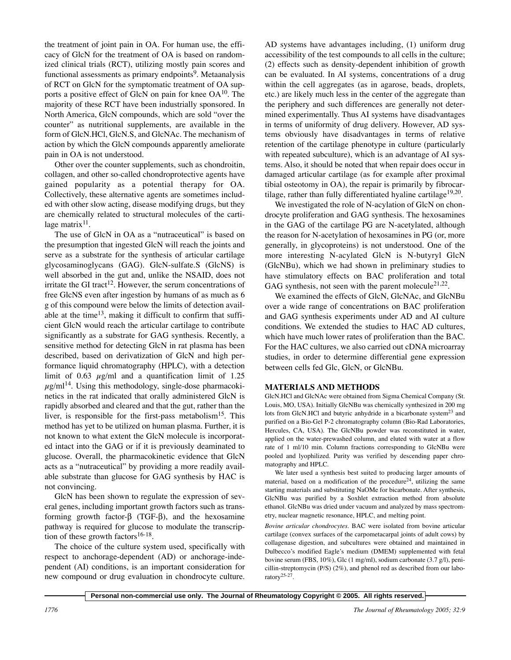the treatment of joint pain in OA. For human use, the efficacy of GlcN for the treatment of OA is based on randomized clinical trials (RCT), utilizing mostly pain scores and functional assessments as primary endpoints<sup>9</sup>. Metaanalysis of RCT on GlcN for the symptomatic treatment of OA supports a positive effect of GlcN on pain for knee  $OA^{10}$ . The majority of these RCT have been industrially sponsored. In North America, GlcN compounds, which are sold "over the counter" as nutritional supplements, are available in the form of GlcN.HCl, GlcN.S, and GlcNAc. The mechanism of action by which the GlcN compounds apparently ameliorate pain in OA is not understood.

Other over the counter supplements, such as chondroitin, collagen, and other so-called chondroprotective agents have gained popularity as a potential therapy for OA. Collectively, these alternative agents are sometimes included with other slow acting, disease modifying drugs, but they are chemically related to structural molecules of the cartilage matrix $11$ .

The use of GlcN in OA as a "nutraceutical" is based on the presumption that ingested GlcN will reach the joints and serve as a substrate for the synthesis of articular cartilage glycosaminoglycans (GAG). GlcN-sulfate.S (GlcNS) is well absorbed in the gut and, unlike the NSAID, does not irritate the GI tract<sup>12</sup>. However, the serum concentrations of free GlcNS even after ingestion by humans of as much as 6 g of this compound were below the limits of detection available at the time<sup>13</sup>, making it difficult to confirm that sufficient GlcN would reach the articular cartilage to contribute significantly as a substrate for GAG synthesis. Recently, a sensitive method for detecting GlcN in rat plasma has been described, based on derivatization of GlcN and high performance liquid chromatography (HPLC), with a detection limit of 0.63  $\mu$ g/ml and a quantification limit of 1.25  $\mu$ g/ml<sup>14</sup>. Using this methodology, single-dose pharmacokinetics in the rat indicated that orally administered GlcN is rapidly absorbed and cleared and that the gut, rather than the liver, is responsible for the first-pass metabolism<sup>15</sup>. This method has yet to be utilized on human plasma. Further, it is not known to what extent the GlcN molecule is incorporated intact into the GAG or if it is previously deaminated to glucose. Overall, the pharmacokinetic evidence that GlcN acts as a "nutraceutical" by providing a more readily available substrate than glucose for GAG synthesis by HAC is not convincing.

GlcN has been shown to regulate the expression of several genes, including important growth factors such as transforming growth factor-β (TGF-β), and the hexosamine pathway is required for glucose to modulate the transcription of these growth factors<sup>16-18</sup>.

The choice of the culture system used, specifically with respect to anchorage-dependent (AD) or anchorage-independent (AI) conditions, is an important consideration for new compound or drug evaluation in chondrocyte culture.

AD systems have advantages including, (1) uniform drug accessibility of the test compounds to all cells in the culture; (2) effects such as density-dependent inhibition of growth can be evaluated. In AI systems, concentrations of a drug within the cell aggregates (as in agarose, beads, droplets, etc.) are likely much less in the center of the aggregate than the periphery and such differences are generally not determined experimentally. Thus AI systems have disadvantages in terms of uniformity of drug delivery. However, AD systems obviously have disadvantages in terms of relative retention of the cartilage phenotype in culture (particularly with repeated subculture), which is an advantage of AI systems. Also, it should be noted that when repair does occur in damaged articular cartilage (as for example after proximal tibial osteotomy in OA), the repair is primarily by fibrocartilage, rather than fully differentiated hyaline cartilage<sup>19,20</sup>.

We investigated the role of N-acylation of GlcN on chondrocyte proliferation and GAG synthesis. The hexosamines in the GAG of the cartilage PG are N-acetylated, although the reason for N-acetylation of hexosamines in PG (or, more generally, in glycoproteins) is not understood. One of the more interesting N-acylated GlcN is N-butyryl GlcN (GlcNBu), which we had shown in preliminary studies to have stimulatory effects on BAC proliferation and total GAG synthesis, not seen with the parent molecule<sup>21,22</sup>.

We examined the effects of GlcN, GlcNAc, and GlcNBu over a wide range of concentrations on BAC proliferation and GAG synthesis experiments under AD and AI culture conditions. We extended the studies to HAC AD cultures, which have much lower rates of proliferation than the BAC. For the HAC cultures, we also carried out cDNA microarray studies, in order to determine differential gene expression between cells fed Glc, GlcN, or GlcNBu.

#### **MATERIALS AND METHODS**

GlcN.HCl and GlcNAc were obtained from Sigma Chemical Company (St. Louis, MO, USA). Initially GlcNBu was chemically synthesized in 200 mg lots from GlcN.HCl and butyric anhydride in a bicarbonate system<sup>23</sup> and purified on a Bio-Gel P-2 chromatography column (Bio-Rad Laboratories, Hercules, CA, USA). The GlcNBu powder was reconstituted in water, applied on the water-prewashed column, and eluted with water at a flow rate of 1 ml/10 min. Column fractions corresponding to GlcNBu were pooled and lyophilized. Purity was verified by descending paper chromatography and HPLC.

We later used a synthesis best suited to producing larger amounts of material, based on a modification of the procedure<sup>24</sup>, utilizing the same starting materials and substituting NaOMe for bicarbonate. After synthesis, GlcNBu was purified by a Soxhlet extraction method from absolute ethanol. GlcNBu was dried under vacuum and analyzed by mass spectrometry, nuclear magnetic resonance, HPLC, and melting point.

*Bovine articular chondrocytes.* BAC were isolated from bovine articular cartilage (convex surfaces of the carpometacarpal joints of adult cows) by collagenase digestion, and subcultures were obtained and maintained in Dulbecco's modified Eagle's medium (DMEM) supplemented with fetal bovine serum (FBS, 10%), Glc (1 mg/ml), sodium carbonate (3.7 g/l), penicillin-streptomycin (P/S) (2%), and phenol red as described from our laboratory<sup>25-27</sup>.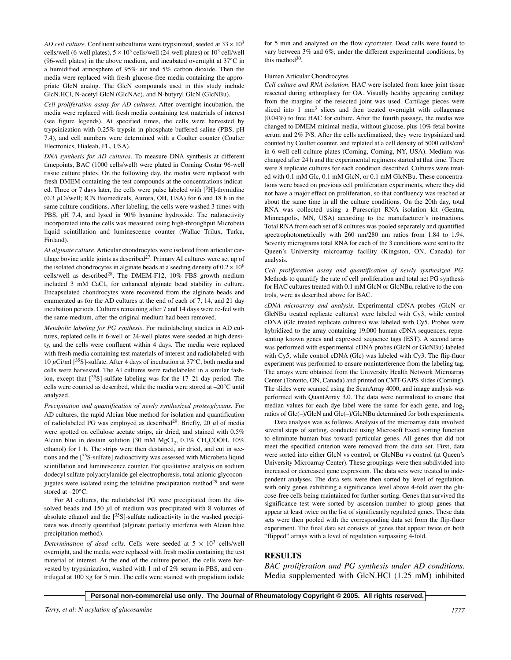*AD cell culture.* Confluent subcultures were trypsinized, seeded at  $33 \times 10^3$ cells/well (6-well plates),  $5 \times 10^3$  cells/well (24-well plates) or  $10^3$  cell/well (96-well plates) in the above medium, and incubated overnight at 37°C in a humidified atmosphere of 95% air and 5% carbon dioxide. Then the media were replaced with fresh glucose-free media containing the appropriate GlcN analog. The GlcN compounds used in this study include GlcN.HCl, N-acetyl GlcN (GlcNAc), and N-butyryl GlcN (GlcNBu).

*Cell proliferation assay for AD cultures.* After overnight incubation, the media were replaced with fresh media containing test materials of interest (see figure legends). At specified times, the cells were harvested by trypsinization with 0.25% trypsin in phosphate buffered saline (PBS, pH 7.4), and cell numbers were determined with a Coulter counter (Coulter Electronics, Hialeah, FL, USA).

*DNA synthesis for AD cultures.* To measure DNA synthesis at different timepoints, BAC (1000 cells/well) were plated in Corning Costar 96-well tissue culture plates. On the following day, the media were replaced with fresh DMEM containing the test compounds at the concentrations indicated. Three or 7 days later, the cells were pulse labeled with  $[3H]$ -thymidine  $(0.3 \mu\text{Ci/well}; \text{ICN Biomedicals}, \text{Aurora}, \text{OH}, \text{USA})$  for 6 and 18 h in the same culture conditions. After labeling, the cells were washed 3 times with PBS, pH 7.4, and lysed in 90% hyamine hydroxide. The radioactivity incorporated into the cells was measured using high-throughput Microbeta liquid scintillation and luminescence counter (Wallac Trilux, Turku, Finland).

*AI alginate culture.* Articular chondrocytes were isolated from articular cartilage bovine ankle joints as described<sup>27</sup>. Primary AI cultures were set up of the isolated chondrocytes in alginate beads at a seeding density of  $0.2 \times 10^6$ cells/well as described28. The DMEM-F12, 10% FBS growth medium included 3 mM CaCl<sub>2</sub> for enhanced alginate bead stability in culture. Encapsulated chondrocytes were recovered from the alginate beads and enumerated as for the AD cultures at the end of each of 7, 14, and 21 day incubation periods. Cultures remaining after 7 and 14 days were re-fed with the same medium, after the original medium had been removed.

*Metabolic labeling for PG synthesis.* For radiolabeling studies in AD cultures, replated cells in 6-well or 24-well plates were seeded at high density, and the cells were confluent within 4 days. The media were replaced with fresh media containing test materials of interest and radiolabeled with 10  $\mu$ Ci/ml [<sup>35</sup>S]-sulfate. After 4 days of incubation at 37°C, both media and cells were harvested. The AI cultures were radiolabeled in a similar fashion, except that  $\binom{35}{5}$ -sulfate labeling was for the 17–21 day period. The cells were counted as described, while the media were stored at –20°C until analyzed.

*Precipitation and quantification of newly synthesized proteoglycans.* For AD cultures, the rapid Alcian blue method for isolation and quantification of radiolabeled PG was employed as described<sup>29</sup>. Briefly, 20  $\mu$ l of media were spotted on cellulose acetate strips, air dried, and stained with 0.5% Alcian blue in destain solution (30 mM MgCl<sub>2</sub>, 0.1% CH<sub>3</sub>COOH, 10% ethanol) for 1 h. The strips were then destained, air dried, and cut in sections and the  $[35S\text{-}sulfate]$  radioactivity was assessed with Microbeta liquid scintillation and luminescence counter. For qualitative analysis on sodium dodecyl sulfate polyacrylamide gel electrophoresis, total anionic glycoconjugates were isolated using the toluidine precipitation method $29$  and were stored at –20°C.

For AI cultures, the radiolabeled PG were precipitated from the dissolved beads and 150  $\mu$ l of medium was precipitated with 8 volumes of absolute ethanol and the  $[35S]$ -sulfate radioactivity in the washed precipitates was directly quantified (alginate partially interferes with Alcian blue precipitation method).

*Determination of dead cells.* Cells were seeded at  $5 \times 10^3$  cells/well overnight, and the media were replaced with fresh media containing the test material of interest. At the end of the culture period, the cells were harvested by trypsinization, washed with 1 ml of 2% serum in PBS, and centrifuged at  $100 \times g$  for 5 min. The cells were stained with propidium iodide for 5 min and analyzed on the flow cytometer. Dead cells were found to vary between 3% and 6%, under the different experimental conditions, by this method $30$ .

#### Human Articular Chondrocytes

*Cell culture and RNA isolation.* HAC were isolated from knee joint tissue resected during arthroplasty for OA. Visually healthy appearing cartilage from the margins of the resected joint was used. Cartilage pieces were sliced into 1 mm<sup>3</sup> slices and then treated overnight with collagenase (0.04%) to free HAC for culture. After the fourth passage, the media was changed to DMEM minimal media, without glucose, plus 10% fetal bovine serum and 2% P/S. After the cells acclimatized, they were trypsinized and counted by Coulter counter, and replated at a cell density of 5000 cells/cm2 in 6-well cell culture plates (Corning, Corning, NY, USA). Medium was changed after 24 h and the experimental regimens started at that time. There were 8 replicate cultures for each condition described. Cultures were treated with 0.1 mM Glc, 0.1 mM GlcN, or 0.1 mM GlcNBu. These concentrations were based on previous cell proliferation experiments, where they did not have a major effect on proliferation, so that confluency was reached at about the same time in all the culture conditions. On the 20th day, total RNA was collected using a Purescript RNA isolation kit (Gentra, Minneapolis, MN, USA) according to the manufacturer's instructions. Total RNA from each set of 8 cultures was pooled separately and quantified spectrophotometrically with 260 nm/280 nm ratios from 1.84 to 1.94. Seventy micrograms total RNA for each of the 3 conditions were sent to the Queen's University microarray facility (Kingston, ON, Canada) for analysis.

*Cell proliferation assay and quantification of newly synthesized PG.* Methods to quantify the rate of cell proliferation and total net PG synthesis for HAC cultures treated with 0.1 mM GlcN or GlcNBu, relative to the controls, were as described above for BAC.

*cDNA microarray and analysis.* Experimental cDNA probes (GlcN or GlcNBu treated replicate cultures) were labeled with Cy3, while control cDNA (Glc treated replicate cultures) was labeled with Cy5. Probes were hybridized to the array containing 19,000 human cDNA sequences, representing known genes and expressed sequence tags (EST). A second array was performed with experimental cDNA probes (GlcN or GlcNBu) labeled with Cy5, while control cDNA (Glc) was labeled with Cy3. The flip-fluor experiment was performed to ensure noninterference from the labeling tag. The arrays were obtained from the University Health Network Microarray Center (Toronto, ON, Canada) and printed on CMT-GAPS slides (Corning). The slides were scanned using the ScanArray 4000, and image analysis was performed with QuantArray 3.0. The data were normalized to ensure that median values for each dye label were the same for each gene, and  $log<sub>2</sub>$ ratios of Glc(–)/GlcN and Glc(–)/GlcNBu determined for both experiments.

Data analysis was as follows. Analysis of the microarray data involved several steps of sorting, conducted using Microsoft Excel sorting function to eliminate human bias toward particular genes. All genes that did not meet the specified criterion were removed from the data set. First, data were sorted into either GlcN vs control, or GlcNBu vs control (at Queen's University Microarray Center). These groupings were then subdivided into increased or decreased gene expression. The data sets were treated to independent analyses. The data sets were then sorted by level of regulation, with only genes exhibiting a significance level above 4-fold over the glucose-free cells being maintained for further sorting. Genes that survived the significance test were sorted by ascension number to group genes that appear at least twice on the list of significantly regulated genes. These data sets were then pooled with the corresponding data set from the flip-fluor experiment. The final data set consists of genes that appear twice on both "flipped" arrays with a level of regulation surpassing 4-fold.

#### **RESULTS**

*BAC proliferation and PG synthesis under AD conditions.* Media supplemented with GlcN.HCl (1.25 mM) inhibited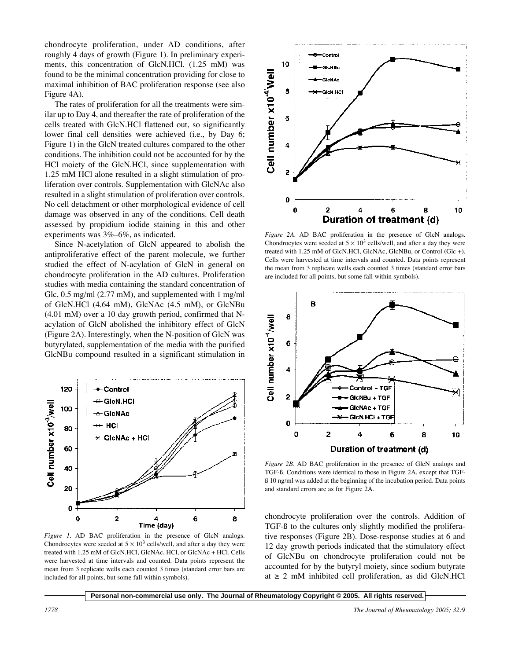chondrocyte proliferation, under AD conditions, after roughly 4 days of growth (Figure 1). In preliminary experiments, this concentration of GlcN.HCl. (1.25 mM) was found to be the minimal concentration providing for close to maximal inhibition of BAC proliferation response (see also Figure 4A).

The rates of proliferation for all the treatments were similar up to Day 4, and thereafter the rate of proliferation of the cells treated with GlcN.HCl flattened out, so significantly lower final cell densities were achieved (i.e., by Day 6; Figure 1) in the GlcN treated cultures compared to the other conditions. The inhibition could not be accounted for by the HCl moiety of the GlcN.HCl, since supplementation with 1.25 mM HCl alone resulted in a slight stimulation of proliferation over controls. Supplementation with GlcNAc also resulted in a slight stimulation of proliferation over controls. No cell detachment or other morphological evidence of cell damage was observed in any of the conditions. Cell death assessed by propidium iodide staining in this and other experiments was 3%–6%, as indicated.

Since N-acetylation of GlcN appeared to abolish the antiproliferative effect of the parent molecule, we further studied the effect of N-acylation of GlcN in general on chondrocyte proliferation in the AD cultures. Proliferation studies with media containing the standard concentration of Glc, 0.5 mg/ml (2.77 mM), and supplemented with 1 mg/ml of GlcN.HCl (4.64 mM), GlcNAc (4.5 mM), or GlcNBu (4.01 mM) over a 10 day growth period, confirmed that Nacylation of GlcN abolished the inhibitory effect of GlcN (Figure 2A). Interestingly, when the N-position of GlcN was butyrylated, supplementation of the media with the purified GlcNBu compound resulted in a significant stimulation in



*Figure 1.* AD BAC proliferation in the presence of GlcN analogs. Chondrocytes were seeded at  $5 \times 10^3$  cells/well, and after a day they were treated with 1.25 mM of GlcN.HCl, GlcNAc, HCl, or GlcNAc + HCl. Cells were harvested at time intervals and counted. Data points represent the mean from 3 replicate wells each counted 3 times (standard error bars are included for all points, but some fall within symbols).



*Figure 2A.* AD BAC proliferation in the presence of GlcN analogs. Chondrocytes were seeded at  $5 \times 10^3$  cells/well, and after a day they were treated with 1.25 mM of GlcN.HCl, GlcNAc, GlcNBu, or Control (Glc +). Cells were harvested at time intervals and counted. Data points represent the mean from 3 replicate wells each counted 3 times (standard error bars are included for all points, but some fall within symbols).



*Figure 2B.* AD BAC proliferation in the presence of GlcN analogs and TGF-ß. Conditions were identical to those in Figure 2A, except that TGFß 10 ng/ml was added at the beginning of the incubation period. Data points and standard errors are as for Figure 2A.

chondrocyte proliferation over the controls. Addition of TGF-ß to the cultures only slightly modified the proliferative responses (Figure 2B). Dose-response studies at 6 and 12 day growth periods indicated that the stimulatory effect of GlcNBu on chondrocyte proliferation could not be accounted for by the butyryl moiety, since sodium butyrate at  $\geq$  2 mM inhibited cell proliferation, as did GlcN.HCl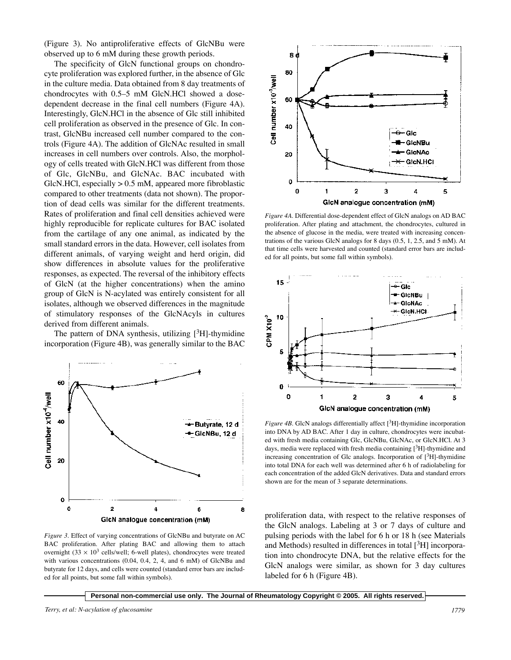(Figure 3). No antiproliferative effects of GlcNBu were observed up to 6 mM during these growth periods.

The specificity of GlcN functional groups on chondrocyte proliferation was explored further, in the absence of Glc in the culture media. Data obtained from 8 day treatments of chondrocytes with 0.5–5 mM GlcN.HCl showed a dosedependent decrease in the final cell numbers (Figure 4A). Interestingly, GlcN.HCl in the absence of Glc still inhibited cell proliferation as observed in the presence of Glc. In contrast, GlcNBu increased cell number compared to the controls (Figure 4A). The addition of GlcNAc resulted in small increases in cell numbers over controls. Also, the morphology of cells treated with GlcN.HCl was different from those of Glc, GlcNBu, and GlcNAc. BAC incubated with GlcN.HCl, especially > 0.5 mM, appeared more fibroblastic compared to other treatments (data not shown). The proportion of dead cells was similar for the different treatments. Rates of proliferation and final cell densities achieved were highly reproducible for replicate cultures for BAC isolated from the cartilage of any one animal, as indicated by the small standard errors in the data. However, cell isolates from different animals, of varying weight and herd origin, did show differences in absolute values for the proliferative responses, as expected. The reversal of the inhibitory effects of GlcN (at the higher concentrations) when the amino group of GlcN is N-acylated was entirely consistent for all isolates, although we observed differences in the magnitude of stimulatory responses of the GlcNAcyls in cultures derived from different animals.

The pattern of DNA synthesis, utilizing  $[3H]$ -thymidine incorporation (Figure 4B), was generally similar to the BAC



*Figure 3.* Effect of varying concentrations of GlcNBu and butyrate on AC BAC proliferation. After plating BAC and allowing them to attach overnight  $(33 \times 10^3 \text{ cells/well}; 6$ -well plates), chondrocytes were treated with various concentrations (0.04, 0.4, 2, 4, and 6 mM) of GlcNBu and butyrate for 12 days, and cells were counted (standard error bars are included for all points, but some fall within symbols).



*Figure 4A.* Differential dose-dependent effect of GlcN analogs on AD BAC proliferation. After plating and attachment, the chondrocytes, cultured in the absence of glucose in the media, were treated with increasing concentrations of the various GlcN analogs for 8 days (0.5, 1, 2.5, and 5 mM). At that time cells were harvested and counted (standard error bars are included for all points, but some fall within symbols).



*Figure 4B*. GlcN analogs differentially affect  $[^{3}H]$ -thymidine incorporation into DNA by AD BAC. After 1 day in culture, chondrocytes were incubated with fresh media containing Glc, GlcNBu, GlcNAc, or GlcN.HCl. At 3 days, media were replaced with fresh media containing  $[{}^{3}H]$ -thymidine and increasing concentration of Glc analogs. Incorporation of  $[3H]$ -thymidine into total DNA for each well was determined after 6 h of radiolabeling for each concentration of the added GlcN derivatives. Data and standard errors shown are for the mean of 3 separate determinations.

proliferation data, with respect to the relative responses of the GlcN analogs. Labeling at 3 or 7 days of culture and pulsing periods with the label for 6 h or 18 h (see Materials and Methods) resulted in differences in total  $[3H]$  incorporation into chondrocyte DNA, but the relative effects for the GlcN analogs were similar, as shown for 3 day cultures labeled for 6 h (Figure 4B).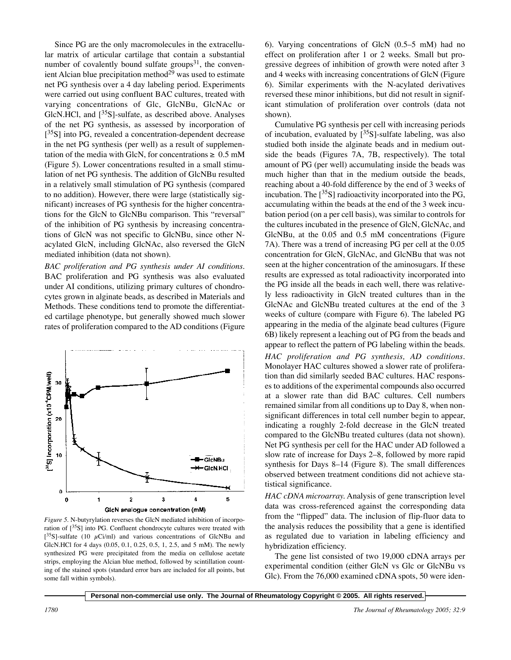Since PG are the only macromolecules in the extracellular matrix of articular cartilage that contain a substantial number of covalently bound sulfate groups $31$ , the convenient Alcian blue precipitation method $2^{\overline{9}}$  was used to estimate net PG synthesis over a 4 day labeling period. Experiments were carried out using confluent BAC cultures, treated with varying concentrations of Glc, GlcNBu, GlcNAc or GlcN.HCl, and  $[^{35}S]$ -sulfate, as described above. Analyses of the net PG synthesis, as assessed by incorporation of  $[35S]$  into PG, revealed a concentration-dependent decrease in the net PG synthesis (per well) as a result of supplementation of the media with GlcN, for concentrations  $\geq 0.5$  mM (Figure 5). Lower concentrations resulted in a small stimulation of net PG synthesis. The addition of GlcNBu resulted in a relatively small stimulation of PG synthesis (compared to no addition). However, there were large (statistically significant) increases of PG synthesis for the higher concentrations for the GlcN to GlcNBu comparison. This "reversal" of the inhibition of PG synthesis by increasing concentrations of GlcN was not specific to GlcNBu, since other Nacylated GlcN, including GlcNAc, also reversed the GlcN mediated inhibition (data not shown).

*BAC proliferation and PG synthesis under AI conditions.* BAC proliferation and PG synthesis was also evaluated under AI conditions, utilizing primary cultures of chondrocytes grown in alginate beads, as described in Materials and Methods. These conditions tend to promote the differentiated cartilage phenotype, but generally showed much slower rates of proliferation compared to the AD conditions (Figure



*Figure 5.* N-butyrylation reverses the GlcN mediated inhibition of incorporation of  $[^{35}S]$  into PG. Confluent chondrocyte cultures were treated with  $[^{35}S]$ -sulfate (10  $\mu$ Ci/ml) and various concentrations of GlcNBu and GlcN.HCl for 4 days (0.05, 0.1, 0.25, 0.5, 1, 2.5, and 5 mM). The newly synthesized PG were precipitated from the media on cellulose acetate strips, employing the Alcian blue method, followed by scintillation counting of the stained spots (standard error bars are included for all points, but some fall within symbols).

6). Varying concentrations of GlcN (0.5–5 mM) had no effect on proliferation after 1 or 2 weeks. Small but progressive degrees of inhibition of growth were noted after 3 and 4 weeks with increasing concentrations of GlcN (Figure 6). Similar experiments with the N-acylated derivatives reversed these minor inhibitions, but did not result in significant stimulation of proliferation over controls (data not shown).

Cumulative PG synthesis per cell with increasing periods of incubation, evaluated by  $[^{35}S]$ -sulfate labeling, was also studied both inside the alginate beads and in medium outside the beads (Figures 7A, 7B, respectively). The total amount of PG (per well) accumulating inside the beads was much higher than that in the medium outside the beads, reaching about a 40-fold difference by the end of 3 weeks of incubation. The  $\lceil^{35}S\rceil$  radioactivity incorporated into the PG, accumulating within the beads at the end of the 3 week incubation period (on a per cell basis), was similar to controls for the cultures incubated in the presence of GlcN, GlcNAc, and GlcNBu, at the 0.05 and 0.5 mM concentrations (Figure 7A). There was a trend of increasing PG per cell at the 0.05 concentration for GlcN, GlcNAc, and GlcNBu that was not seen at the higher concentration of the aminosugars. If these results are expressed as total radioactivity incorporated into the PG inside all the beads in each well, there was relatively less radioactivity in GlcN treated cultures than in the GlcNAc and GlcNBu treated cultures at the end of the 3 weeks of culture (compare with Figure 6). The labeled PG appearing in the media of the alginate bead cultures (Figure 6B) likely represent a leaching out of PG from the beads and appear to reflect the pattern of PG labeling within the beads. *HAC proliferation and PG synthesis, AD conditions.* Monolayer HAC cultures showed a slower rate of proliferation than did similarly seeded BAC cultures. HAC responses to additions of the experimental compounds also occurred at a slower rate than did BAC cultures. Cell numbers remained similar from all conditions up to Day 8, when nonsignificant differences in total cell number begin to appear, indicating a roughly 2-fold decrease in the GlcN treated compared to the GlcNBu treated cultures (data not shown). Net PG synthesis per cell for the HAC under AD followed a slow rate of increase for Days 2–8, followed by more rapid synthesis for Days 8–14 (Figure 8). The small differences observed between treatment conditions did not achieve statistical significance.

*HAC cDNA microarray.* Analysis of gene transcription level data was cross-referenced against the corresponding data from the "flipped" data. The inclusion of flip-fluor data to the analysis reduces the possibility that a gene is identified as regulated due to variation in labeling efficiency and hybridization efficiency.

The gene list consisted of two 19,000 cDNA arrays per experimental condition (either GlcN vs Glc or GlcNBu vs Glc). From the 76,000 examined cDNA spots, 50 were iden-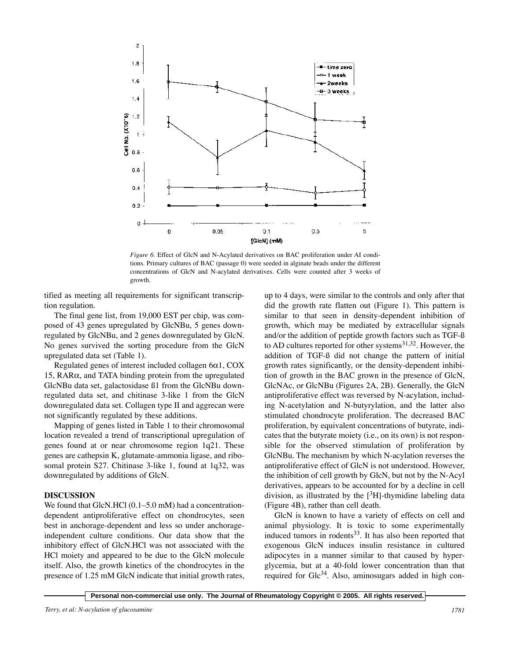

*Figure 6.* Effect of GlcN and N-Acylated derivatives on BAC proliferation under AI conditions. Primary cultures of BAC (passage 0) were seeded in alginate beads under the different concentrations of GlcN and N-acylated derivatives. Cells were counted after 3 weeks of growth.

tified as meeting all requirements for significant transcription regulation.

The final gene list, from 19,000 EST per chip, was composed of 43 genes upregulated by GlcNBu, 5 genes downregulated by GlcNBu, and 2 genes downregulated by GlcN. No genes survived the sorting procedure from the GlcN upregulated data set (Table 1).

Regulated genes of interest included collagen 6α1, COX 15,  $RAR\alpha$ , and TATA binding protein from the upregulated GlcNBu data set, galactosidase ß1 from the GlcNBu downregulated data set, and chitinase 3-like 1 from the GlcN downregulated data set. Collagen type II and aggrecan were not significantly regulated by these additions.

Mapping of genes listed in Table 1 to their chromosomal location revealed a trend of transcriptional upregulation of genes found at or near chromosome region 1q21. These genes are cathepsin K, glutamate-ammonia ligase, and ribosomal protein S27. Chitinase 3-like 1, found at 1q32, was downregulated by additions of GlcN.

### **DISCUSSION**

We found that GlcN.HCl (0.1–5.0 mM) had a concentrationdependent antiproliferative effect on chondrocytes, seen best in anchorage-dependent and less so under anchorageindependent culture conditions. Our data show that the inhibitory effect of GlcN.HCl was not associated with the HCl moiety and appeared to be due to the GlcN molecule itself. Also, the growth kinetics of the chondrocytes in the presence of 1.25 mM GlcN indicate that initial growth rates, up to 4 days, were similar to the controls and only after that did the growth rate flatten out (Figure 1). This pattern is similar to that seen in density-dependent inhibition of growth, which may be mediated by extracellular signals and/or the addition of peptide growth factors such as TGF-ß to AD cultures reported for other systems $^{31,32}$ . However, the addition of TGF-ß did not change the pattern of initial growth rates significantly, or the density-dependent inhibition of growth in the BAC grown in the presence of GlcN, GlcNAc, or GlcNBu (Figures 2A, 2B). Generally, the GlcN antiproliferative effect was reversed by N-acylation, including N-acetylation and N-butyrylation, and the latter also stimulated chondrocyte proliferation. The decreased BAC proliferation, by equivalent concentrations of butyrate, indicates that the butyrate moiety (i.e., on its own) is not responsible for the observed stimulation of proliferation by GlcNBu. The mechanism by which N-acylation reverses the antiproliferative effect of GlcN is not understood. However, the inhibition of cell growth by GlcN, but not by the N-Acyl derivatives, appears to be accounted for by a decline in cell division, as illustrated by the  $[{}^{3}H]$ -thymidine labeling data (Figure 4B), rather than cell death.

GlcN is known to have a variety of effects on cell and animal physiology. It is toxic to some experimentally induced tumors in rodents $33$ . It has also been reported that exogenous GlcN induces insulin resistance in cultured adipocytes in a manner similar to that caused by hyperglycemia, but at a 40-fold lower concentration than that required for  $Glc<sup>34</sup>$ . Also, aminosugars added in high con-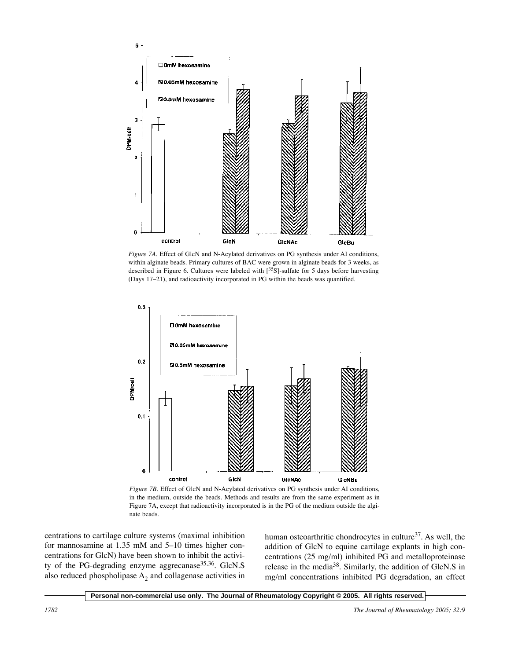

*Figure 7A.* Effect of GlcN and N-Acylated derivatives on PG synthesis under AI conditions, within alginate beads. Primary cultures of BAC were grown in alginate beads for 3 weeks, as described in Figure 6. Cultures were labeled with  $[35S]$ -sulfate for 5 days before harvesting (Days 17–21), and radioactivity incorporated in PG within the beads was quantified.



*Figure 7B.* Effect of GlcN and N-Acylated derivatives on PG synthesis under AI conditions, in the medium, outside the beads. Methods and results are from the same experiment as in Figure 7A, except that radioactivity incorporated is in the PG of the medium outside the alginate beads.

centrations to cartilage culture systems (maximal inhibition for mannosamine at 1.35 mM and 5–10 times higher concentrations for GlcN) have been shown to inhibit the activity of the PG-degrading enzyme aggrecanase<sup>35,36</sup>. GlcN.S also reduced phospholipase  $A_2$  and collagenase activities in human osteoarthritic chondrocytes in culture<sup>37</sup>. As well, the addition of GlcN to equine cartilage explants in high concentrations (25 mg/ml) inhibited PG and metalloproteinase release in the media38. Similarly, the addition of GlcN.S in mg/ml concentrations inhibited PG degradation, an effect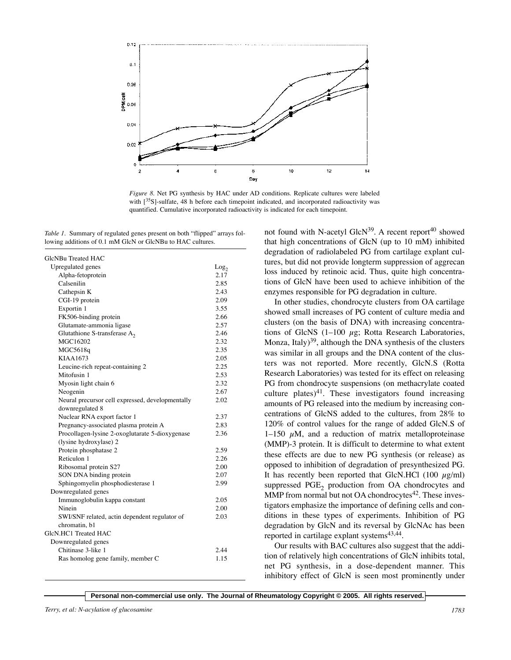

*Figure 8.* Net PG synthesis by HAC under AD conditions. Replicate cultures were labeled with [<sup>35</sup>S]-sulfate, 48 h before each timepoint indicated, and incorporated radioactivity was quantified. Cumulative incorporated radioactivity is indicated for each timepoint.

*Table 1.* Summary of regulated genes present on both "flipped" arrays following additions of 0.1 mM GlcN or GlcNBu to HAC cultures.

| GlcNBu Treated HAC                               |                  |
|--------------------------------------------------|------------------|
| Upregulated genes                                | Log <sub>2</sub> |
| Alpha-fetoprotein                                | 2.17             |
| Calsenilin                                       | 2.85             |
| Cathepsin K                                      | 2.43             |
| CGI-19 protein                                   | 2.09             |
| Exportin 1                                       | 3.55             |
| FK506-binding protein                            | 2.66             |
| Glutamate-ammonia ligase                         | 2.57             |
| Glutathione S-transferase $A_2$                  | 2.46             |
| MGC16202                                         | 2.32             |
| MGC5618q                                         | 2.35             |
| KIAA1673                                         | 2.05             |
| Leucine-rich repeat-containing 2                 | 2.25             |
| Mitofusin 1                                      | 2.53             |
| Myosin light chain 6                             | 2.32             |
| Neogenin                                         | 2.67             |
| Neural precursor cell expressed, developmentally | 2.02             |
| downregulated 8                                  |                  |
| Nuclear RNA export factor 1                      | 2.37             |
| Pregnancy-associated plasma protein A            | 2.83             |
| Procollagen-lysine 2-oxoglutarate 5-dioxygenase  | 2.36             |
| (lysine hydroxylase) 2                           |                  |
| Protein phosphatase 2                            | 2.59             |
| Reticulon 1                                      | 2.26             |
| Ribosomal protein S27                            | 2.00             |
| SON DNA binding protein                          | 2.07             |
| Sphingomyelin phosphodiesterase 1                | 2.99             |
| Downregulated genes                              |                  |
| Immunoglobulin kappa constant                    | 2.05             |
| Ninein                                           | 2.00             |
| SWI/SNF related, actin dependent regulator of    | 2.03             |
| chromatin, b1                                    |                  |
| GlcN.HC1 Treated HAC                             |                  |
| Downregulated genes                              |                  |
| Chitinase 3-like 1                               | 2.44             |
| Ras homolog gene family, member C                | 1.15             |
|                                                  |                  |

not found with N-acetyl GlcN $39$ . A recent report<sup>40</sup> showed that high concentrations of GlcN (up to 10 mM) inhibited degradation of radiolabeled PG from cartilage explant cultures, but did not provide longterm suppression of aggrecan loss induced by retinoic acid. Thus, quite high concentrations of GlcN have been used to achieve inhibition of the enzymes responsible for PG degradation in culture.

In other studies, chondrocyte clusters from OA cartilage showed small increases of PG content of culture media and clusters (on the basis of DNA) with increasing concentrations of GlcNS  $(1-100 \mu g)$ ; Rotta Research Laboratories, Monza, Italy $39$ , although the DNA synthesis of the clusters was similar in all groups and the DNA content of the clusters was not reported. More recently, GlcN.S (Rotta Research Laboratories) was tested for its effect on releasing PG from chondrocyte suspensions (on methacrylate coated culture plates)<sup>41</sup>. These investigators found increasing amounts of PG released into the medium by increasing concentrations of GlcNS added to the cultures, from 28% to 120% of control values for the range of added GlcN.S of 1–150  $\mu$ M, and a reduction of matrix metalloproteinase (MMP)-3 protein. It is difficult to determine to what extent these effects are due to new PG synthesis (or release) as opposed to inhibition of degradation of presynthesized PG. It has recently been reported that GlcN.HCl (100  $\mu$ g/ml) suppressed PGE<sub>2</sub> production from OA chondrocytes and MMP from normal but not OA chondrocytes $42$ . These investigators emphasize the importance of defining cells and conditions in these types of experiments. Inhibition of PG degradation by GlcN and its reversal by GlcNAc has been reported in cartilage explant systems<sup>43,44</sup>.

Our results with BAC cultures also suggest that the addition of relatively high concentrations of GlcN inhibits total, net PG synthesis, in a dose-dependent manner. This inhibitory effect of GlcN is seen most prominently under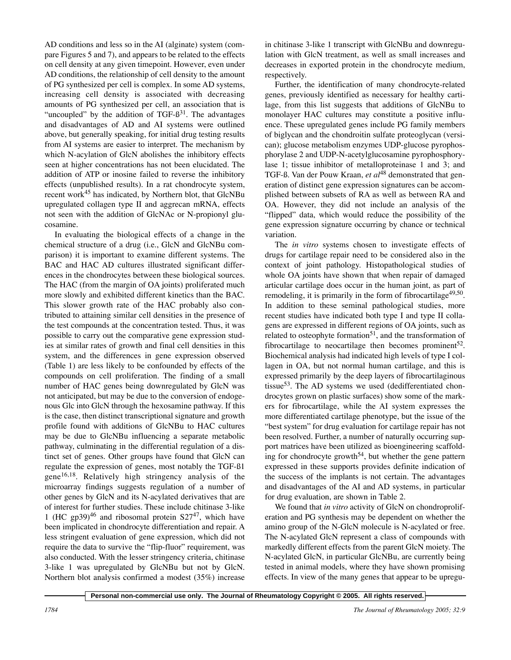AD conditions and less so in the AI (alginate) system (compare Figures 5 and 7), and appears to be related to the effects on cell density at any given timepoint. However, even under AD conditions, the relationship of cell density to the amount of PG synthesized per cell is complex. In some AD systems, increasing cell density is associated with decreasing amounts of PG synthesized per cell, an association that is "uncoupled" by the addition of  $TGF-B<sup>31</sup>$ . The advantages and disadvantages of AD and AI systems were outlined above, but generally speaking, for initial drug testing results from AI systems are easier to interpret. The mechanism by which N-acylation of GlcN abolishes the inhibitory effects seen at higher concentrations has not been elucidated. The addition of ATP or inosine failed to reverse the inhibitory effects (unpublished results). In a rat chondrocyte system, recent work<sup>45</sup> has indicated, by Northern blot, that GlcNBu upregulated collagen type II and aggrecan mRNA, effects not seen with the addition of GlcNAc or N-propionyl glucosamine.

In evaluating the biological effects of a change in the chemical structure of a drug (i.e., GlcN and GlcNBu comparison) it is important to examine different systems. The BAC and HAC AD cultures illustrated significant differences in the chondrocytes between these biological sources. The HAC (from the margin of OA joints) proliferated much more slowly and exhibited different kinetics than the BAC. This slower growth rate of the HAC probably also contributed to attaining similar cell densities in the presence of the test compounds at the concentration tested. Thus, it was possible to carry out the comparative gene expression studies at similar rates of growth and final cell densities in this system, and the differences in gene expression observed (Table 1) are less likely to be confounded by effects of the compounds on cell proliferation. The finding of a small number of HAC genes being downregulated by GlcN was not anticipated, but may be due to the conversion of endogenous Glc into GlcN through the hexosamine pathway. If this is the case, then distinct transcriptional signature and growth profile found with additions of GlcNBu to HAC cultures may be due to GlcNBu influencing a separate metabolic pathway, culminating in the differential regulation of a distinct set of genes. Other groups have found that GlcN can regulate the expression of genes, most notably the TGF-ß1 gene<sup>16,18</sup>. Relatively high stringency analysis of the microarray findings suggests regulation of a number of other genes by GlcN and its N-acylated derivatives that are of interest for further studies. These include chitinase 3-like 1 (HC gp39)<sup>46</sup> and ribosomal protein  $S27^{47}$ , which have been implicated in chondrocyte differentiation and repair. A less stringent evaluation of gene expression, which did not require the data to survive the "flip-fluor" requirement, was also conducted. With the lesser stringency criteria, chitinase 3-like 1 was upregulated by GlcNBu but not by GlcN. Northern blot analysis confirmed a modest (35%) increase

in chitinase 3-like 1 transcript with GlcNBu and downregulation with GlcN treatment, as well as small increases and decreases in exported protein in the chondrocyte medium, respectively.

Further, the identification of many chondrocyte-related genes, previously identified as necessary for healthy cartilage, from this list suggests that additions of GlcNBu to monolayer HAC cultures may constitute a positive influence. These upregulated genes include PG family members of biglycan and the chondroitin sulfate proteoglycan (versican); glucose metabolism enzymes UDP-glucose pyrophosphorylase 2 and UDP-N-acetylglucosamine pyrophosphorylase 1; tissue inhibitor of metalloproteinase 1 and 3; and TGF-ß. Van der Pouw Kraan, *et al*<sup>48</sup> demonstrated that generation of distinct gene expression signatures can be accomplished between subsets of RA as well as between RA and OA. However, they did not include an analysis of the "flipped" data, which would reduce the possibility of the gene expression signature occurring by chance or technical variation.

The *in vitro* systems chosen to investigate effects of drugs for cartilage repair need to be considered also in the context of joint pathology. Histopathological studies of whole OA joints have shown that when repair of damaged articular cartilage does occur in the human joint, as part of remodeling, it is primarily in the form of fibrocartilage<sup>49,50</sup>. In addition to these seminal pathological studies, more recent studies have indicated both type I and type II collagens are expressed in different regions of OA joints, such as related to osteophyte formation<sup>51</sup>, and the transformation of fibrocartilage to neocartilage then becomes prominent<sup>52</sup>. Biochemical analysis had indicated high levels of type I collagen in OA, but not normal human cartilage, and this is expressed primarily by the deep layers of fibrocartilaginous tissue<sup>53</sup>. The AD systems we used (dedifferentiated chondrocytes grown on plastic surfaces) show some of the markers for fibrocartilage, while the AI system expresses the more differentiated cartilage phenotype, but the issue of the "best system" for drug evaluation for cartilage repair has not been resolved. Further, a number of naturally occurring support matrices have been utilized as bioengineering scaffolding for chondrocyte growth<sup>54</sup>, but whether the gene pattern expressed in these supports provides definite indication of the success of the implants is not certain. The advantages and disadvantages of the AI and AD systems, in particular for drug evaluation, are shown in Table 2.

We found that *in vitro* activity of GlcN on chondroproliferation and PG synthesis may be dependent on whether the amino group of the N-GlcN molecule is N-acylated or free. The N-acylated GlcN represent a class of compounds with markedly different effects from the parent GlcN moiety. The N-acylated GlcN, in particular GlcNBu, are currently being tested in animal models, where they have shown promising effects. In view of the many genes that appear to be upregu-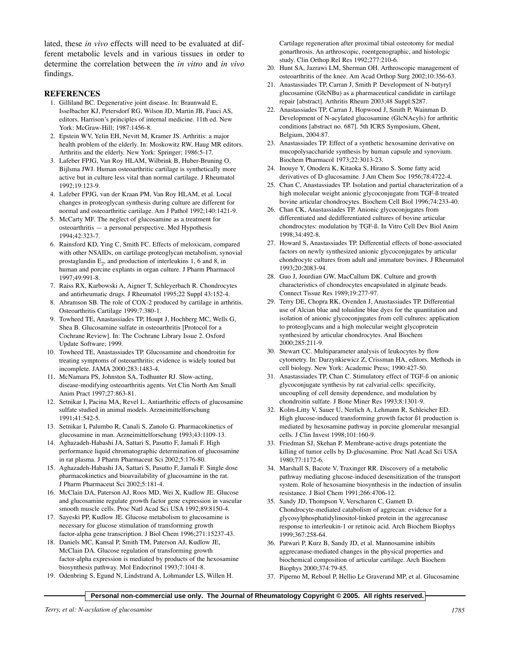lated, these *in vivo* effects will need to be evaluated at different metabolic levels and in various tissues in order to determine the correlation between the *in vitro* and *in vivo* findings.

#### **REFERENCES**

- 1. Gilliland BC. Degenerative joint disease. In: Braunwald E, Isselbacher KJ, Petersdorf RG, Wilson JD, Martin JB, Fauci AS, editors. Harrison's principles of internal medicine. 11th ed. New York: McGraw-Hill; 1987:1456-8.
- 2. Epstein WV, Yelin EH, Nevitt M, Kramer JS. Arthritis: a major health problem of the elderly. In: Moskowitz RW, Haug MR editors. Arthritis and the elderly. New York: Springer; 1986:5-17.
- 3. Lafeber FPJG, Van Roy HLAM, Wilbrink B, Huber-Bruning O, Bijlsma JWJ. Human osteoarthritic cartilage is synthetically more active but in culture less vital than normal cartilage. J Rheumatol 1992;19:123-9.
- 4. Lafeber FPJG, van der Kraan PM, Van Roy HLAM, et al. Local changes in proteoglycan synthesis during culture are different for normal and osteoarthritic cartilage. Am J Pathol 1992;140:1421-9.
- 5. McCarty MF. The neglect of glucosamine as a treatment for osteoarthritis — a personal perspective. Med Hypothesis 1994;42:323-7.
- 6. Rainsford KD, Ying C, Smith FC. Effects of meloxicam, compared with other NSAIDs, on cartilage proteoglycan metabolism, synovial prostaglandin  $E_2$ , and production of interleukins 1, 6 and 8, in human and porcine explants in organ culture. J Pharm Pharmacol 1997;49:991-8.
- 7. Raiss RX, Karbowski A, Aigner T, Schleyerbach R. Chondrocytes and antirheumatic drugs. J Rheumatol 1995;22 Suppl 43:152-4.
- 8. Abramson SB. The role of COX-2 produced by cartilage in arthritis. Osteoarthritis Cartilage 1999;7:380-1.
- 9. Towheed TE, Anastassiades TP, Houpt J, Hochberg MC, Wells G, Shea B. Glucosamine sulfate in osteoarthritis [Protocol for a Cochrane Review]. In: The Cochrane Library Issue 2. Oxford Update Software; 1999.
- 10. Towheed TE, Anastassiades TP. Glucosamine and chondroitin for treating symptoms of osteoarthritis: evidence is widely touted but incomplete. JAMA 2000;283:1483-4.
- 11. McNamara PS, Johnston SA, Todhunter RJ. Slow-acting, disease-modifying osteoarthritis agents. Vet Clin North Am Small Anim Pract 1997;27:863-81.
- 12. Setnikar I, Pacina MA, Revel L. Antiarthritic effects of glucosamine sulfate studied in animal models. Arzneimittelforschung 1991;41:542-5.
- 13. Setnikar I, Palumbo R, Canali S, Zanolo G. Pharmacokinetics of glucosamine in man. Arzneimittelforschung 1993;43:1109-13.
- 14. Aghazadeh-Habashi JA, Sattari S, Pasutto F, Jamali F. High performance liquid chromatographic determination of glucosamine in rat plasma. J Pharm Pharmaceut Sci 2002;5:176-80.
- 15. Aghazadeh-Habashi JA, Sattari S, Pasutto F, Jamali F. Single dose pharmacokinetics and bioavailability of glucosamine in the rat. J Pharm Pharmaceut Sci 2002;5:181-4.
- 16. McClain DA, Paterson AJ, Roos MD, Wei X, Kudlow JE. Glucose and glucosamine regulate growth factor gene expression in vascular smooth muscle cells. Proc Natl Acad Sci USA 1992;89:8150-4.
- 17. Sayeski PP, Kudlow JE. Glucose metabolism to glucosamine is necessary for glucose stimulation of transforming growth factor-alpha gene transcription. J Biol Chem 1996;271:15237-43.
- 18. Daniels MC, Kansal P, Smith TM, Paterson AJ, Kudlow JE, McClain DA. Glucose regulation of transforming growth factor-alpha expression is mediated by products of the hexosamine biosynthesis pathway. Mol Endocrinol 1993;7:1041-8.
- 19. Odenbring S, Egund N, Lindstrand A, Lohmander LS, Willen H.

Cartilage regeneration after proximal tibial osteotomy for medial gonarthrosis. An arthroscopic, roentgenographic, and histologic study. Clin Orthop Rel Res 1992;277:210-6.

- 20. Hunt SA, Jazrawi LM, Sherman OH. Arthroscopic management of osteoarthritis of the knee. Am Acad Orthop Surg 2002;10:356-63.
- 21. Anastassiades TP, Carran J, Smith P. Development of N-butyryl glucosamine (GlcNBu) as a pharmaceutical candidate in cartilage repair [abstract]. Arthritis Rheum 2003;48 Suppl:S287.
- 22. Anastassiades TP, Carran J, Hopwood J, Smith P, Wainman D. Development of N-acylated glucosamine (GlcNAcyls) for arthritic conditions [abstract no. 687]. 5th ICRS Symposium, Ghent, Belgium, 2004:87.
- 23. Anastassiades TP. Effect of a synthetic hexosamine derivative on mucopolysaccharide synthesis by human capsule and synovium. Biochem Pharmacol 1973;22:3013-23.
- 24. Inouye Y, Onodera K, Kitaoka S, Hirano S. Some fatty acid derivatives of D-glucosamine. J Am Chem Soc 1956;78:4722-4.
- 25. Chan C, Anastassiades TP. Isolation and partial characterization of a high molecular weight anionic glycoconjugate from TGF-ß treated bovine articular chondrocytes. Biochem Cell Biol 1996;74:233-40.
- 26. Chan CK, Anastassiades TP. Anionic glycoconjugates from differentiated and dedifferentiated cultures of bovine articular chondrocytes: modulation by TGF-ß. In Vitro Cell Dev Biol Anim 1998;34:492-8.
- 27. Howard S, Anastassiades TP. Differential effects of bone-associated factors on newly synthesized anionic glycoconjugates by articular chondrocyte cultures from adult and immature bovines. J Rheumatol 1993;20:2083-94.
- 28. Guo J, Jourdian GW, MacCallum DK. Culture and growth characteristics of chondrocytes encapsulated in alginate beads. Connect Tissue Res 1989;19:277-97.
- 29. Terry DE, Chopra RK, Ovenden J, Anastassiades TP. Differential use of Alcian blue and toluidine blue dyes for the quantitation and isolation of anionic glycoconjugates from cell cultures: application to proteoglycans and a high molecular weight glycoprotein synthesized by articular chondrocytes. Anal Biochem 2000;285:211-9.
- 30. Stewart CC. Multiparameter analysis of leukocytes by flow cytometry. In: Darzynkiewicz Z, Crissman HA, editors. Methods in cell biology. New York: Academic Press; 1990:427-50.
- 31. Anastassiades TP, Chan C. Stimulatory effect of TGF-ß on anionic glycoconjugate synthesis by rat calvarial cells: specificity, uncoupling of cell density dependence, and modulation by chondroitin sulfate. J Bone Miner Res 1993;8:1301-9.
- 32. Kolm-Litty V, Sauer U, Nerlich A, Lehmann R, Schleicher ED. High glucose-induced transforming growth factor ß1 production is mediated by hexosamine pathway in porcine glomerular mesangial cells. J Clin Invest 1998;101:160-9.
- 33. Friedman SJ, Skehan P. Membrane-active drugs potentiate the killing of tumor cells by D-glucosamine. Proc Natl Acad Sci USA 1980;77:1172-6.
- 34. Marshall S, Bacote V, Traxinger RR. Discovery of a metabolic pathway mediating glucose-induced desensitization of the transport system. Role of hexosamine biosynthesis in the induction of insulin resistance. J Biol Chem 1991;266:4706-12.
- 35. Sandy JD, Thompson V, Verscharen C, Gamett D. Chondrocyte-mediated catabolism of aggrecan: evidence for a glycosylphosphatidylinositol-linked protein in the aggrecanase response to interleukin-1 or retinoic acid. Arch Biochem Biophys 1999;367:258-64.
- 36. Patwari P, Kurz B, Sandy JD, et al. Mannosamine inhibits aggrecanase-mediated changes in the physical properties and biochemical composition of articular cartilage. Arch Biochem Biophys 2000;374:79-85.
- 37. Piperno M, Reboul P, Hellio Le Graverand MP, et al. Glucosamine